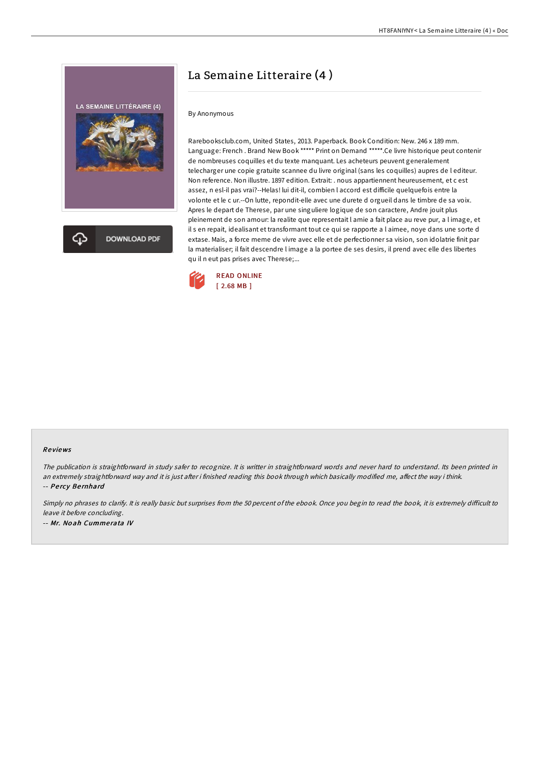

# La Semaine Litteraire (4 )

## By Anonymous

Rarebooksclub.com, United States, 2013. Paperback. Book Condition: New. 246 x 189 mm. Language: French . Brand New Book \*\*\*\*\* Print on Demand \*\*\*\*\*.Ce livre historique peut contenir de nombreuses coquilles et du texte manquant. Les acheteurs peuvent generalement telecharger une copie gratuite scannee du livre original (sans les coquilles) aupres de l editeur. Non reference. Non illustre. 1897 edition. Extrait: . nous appartiennent heureusement, et c est assez, n esl-il pas vrai?--Helas! lui dit-il, combien l accord est difficile quelquefois entre la volonte et le c ur.--On lutte, repondit-elle avec une durete d orgueil dans le timbre de sa voix. Apres le depart de Therese, par une singuliere logique de son caractere, Andre jouit plus pleinement de son amour: la realite que representait l amie a fait place au reve pur, a l image, et il s en repait, idealisant et transformant tout ce qui se rapporte a l aimee, noye dans une sorte d extase. Mais, a force meme de vivre avec elle et de perfectionner sa vision, son idolatrie finit par la materialiser; il fait descendre l image a la portee de ses desirs, il prend avec elle des libertes qu il n eut pas prises avec Therese;...



### Re views

The publication is straightforward in study safer to recognize. It is writter in straightforward words and never hard to understand. Its been printed in an extremely straightforward way and it is just after i finished reading this book through which basically modified me, affect the way i think. -- Pe rcy Be rnhard

Simply no phrases to clarify. It is really basic but surprises from the 50 percent of the ebook. Once you begin to read the book, it is extremely difficult to leave it before concluding. -- Mr. No ah Cumme rata IV